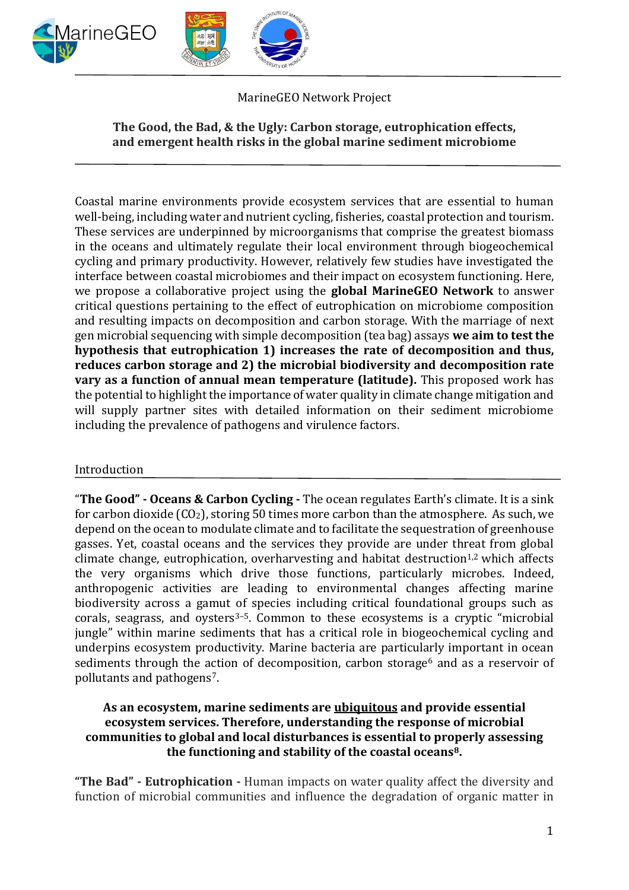

# MarineGEO Network Project

# **The Good, the Bad, & the Ugly: Carbon storage, eutrophication effects, and emergent health risks in the global marine sediment microbiome**

Coastal marine environments provide ecosystem services that are essential to human well-being, including water and nutrient cycling, fisheries, coastal protection and tourism. These services are underpinned by microorganisms that comprise the greatest biomass in the oceans and ultimately regulate their local environment through biogeochemical cycling and primary productivity. However, relatively few studies have investigated the interface between coastal microbiomes and their impact on ecosystem functioning. Here, we propose a collaborative project using the **global MarineGEO Network** to answer critical questions pertaining to the effect of eutrophication on microbiome composition and resulting impacts on decomposition and carbon storage. With the marriage of next gen microbial sequencing with simple decomposition (tea bag) assays **we aim to test the hypothesis that eutrophication 1) increases the rate of decomposition and thus, reduces carbon storage and 2) the microbial biodiversity and decomposition rate vary as a function of annual mean temperature (latitude).** This proposed work has the potential to highlight the importance of water quality in climate change mitigation and will supply partner sites with detailed information on their sediment microbiome including the prevalence of pathogens and virulence factors.

#### Introduction

"**The Good" - Oceans & Carbon Cycling -** The ocean regulates Earth's climate. It is a sink for carbon dioxide (CO2), storing 50 times more carbon than the atmosphere. As such, we depend on the ocean to modulate climate and to facilitate the sequestration of greenhouse gasses. Yet, coastal oceans and the services they provide are under threat from global climate change, eutrophication, overharvesting and habitat destruction<sup>1,2</sup> which affects the very organisms which drive those functions, particularly microbes. Indeed, anthropogenic activities are leading to environmental changes affecting marine biodiversity across a gamut of species including critical foundational groups such as corals, seagrass, and oysters $3-5$ . Common to these ecosystems is a cryptic "microbial jungle" within marine sediments that has a critical role in biogeochemical cycling and underpins ecosystem productivity. Marine bacteria are particularly important in ocean sediments through the action of decomposition, carbon storage<sup>6</sup> and as a reservoir of pollutants and pathogens7.

#### **As an ecosystem, marine sediments are ubiquitous and provide essential ecosystem services. Therefore, understanding the response of microbial communities to global and local disturbances is essential to properly assessing the functioning and stability of the coastal oceans8.**

**"The Bad" - Eutrophication -** Human impacts on water quality affect the diversity and function of microbial communities and influence the degradation of organic matter in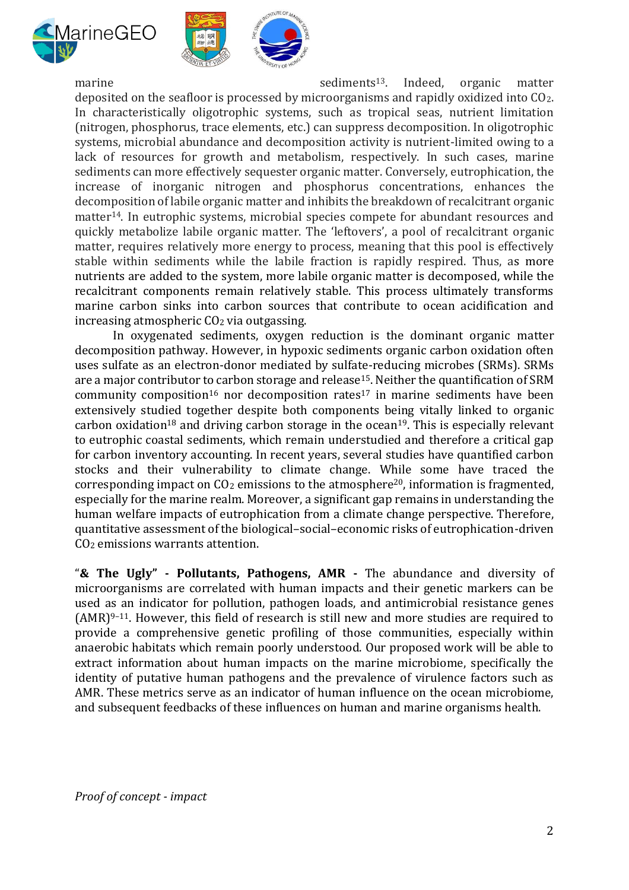



marine sediments<sup>13</sup>. Indeed, organic matter deposited on the seafloor is processed by microorganisms and rapidly oxidized into CO2. In characteristically oligotrophic systems, such as tropical seas, nutrient limitation (nitrogen, phosphorus, trace elements, etc.) can suppress decomposition. In oligotrophic systems, microbial abundance and decomposition activity is nutrient-limited owing to a lack of resources for growth and metabolism, respectively. In such cases, marine sediments can more effectively sequester organic matter. Conversely, eutrophication, the increase of inorganic nitrogen and phosphorus concentrations, enhances the decomposition of labile organic matter and inhibits the breakdown of recalcitrant organic matter14. In eutrophic systems, microbial species compete for abundant resources and quickly metabolize labile organic matter. The 'leftovers', a pool of recalcitrant organic matter, requires relatively more energy to process, meaning that this pool is effectively stable within sediments while the labile fraction is rapidly respired. Thus, as more nutrients are added to the system, more labile organic matter is decomposed, while the recalcitrant components remain relatively stable. This process ultimately transforms marine carbon sinks into carbon sources that contribute to ocean acidification and increasing atmospheric CO<sup>2</sup> via outgassing.

In oxygenated sediments, oxygen reduction is the dominant organic matter decomposition pathway. However, in hypoxic sediments organic carbon oxidation often uses sulfate as an electron-donor mediated by sulfate-reducing microbes (SRMs). SRMs are a major contributor to carbon storage and release<sup>15</sup>. Neither the quantification of SRM community composition<sup>16</sup> nor decomposition rates<sup>17</sup> in marine sediments have been extensively studied together despite both components being vitally linked to organic carbon oxidation<sup>18</sup> and driving carbon storage in the ocean<sup>19</sup>. This is especially relevant to eutrophic coastal sediments, which remain understudied and therefore a critical gap for carbon inventory accounting. In recent years, several studies have quantified carbon stocks and their vulnerability to climate change. While some have traced the corresponding impact on  $CO<sub>2</sub>$  emissions to the atmosphere<sup>20</sup>, information is fragmented, especially for the marine realm. Moreover, a significant gap remains in understanding the human welfare impacts of eutrophication from a climate change perspective. Therefore, quantitative assessment of the biological–social–economic risks of eutrophication-driven CO<sup>2</sup> emissions warrants attention.

"**& The Ugly" - Pollutants, Pathogens, AMR -** The abundance and diversity of microorganisms are correlated with human impacts and their genetic markers can be used as an indicator for pollution, pathogen loads, and antimicrobial resistance genes  $(AMR)^{9-11}$ . However, this field of research is still new and more studies are required to provide a comprehensive genetic profiling of those communities, especially within anaerobic habitats which remain poorly understood. Our proposed work will be able to extract information about human impacts on the marine microbiome, specifically the identity of putative human pathogens and the prevalence of virulence factors such as AMR. These metrics serve as an indicator of human influence on the ocean microbiome, and subsequent feedbacks of these influences on human and marine organisms health.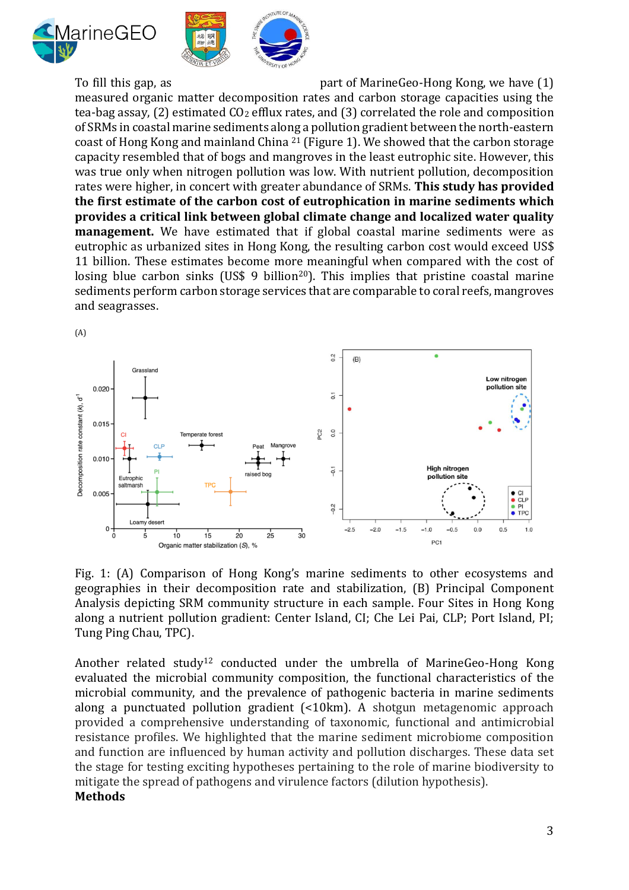



To fill this gap, as **part of MarineGeo-Hong Kong, we have (1)** 

measured organic matter decomposition rates and carbon storage capacities using the tea-bag assay, (2) estimated CO<sub>2</sub> efflux rates, and (3) correlated the role and composition of SRMs in coastal marine sediments along a pollution gradient between the north-eastern coast of Hong Kong and mainland China <sup>21</sup> (Figure 1). We showed that the carbon storage capacity resembled that of bogs and mangroves in the least eutrophic site. However, this was true only when nitrogen pollution was low. With nutrient pollution, decomposition rates were higher, in concert with greater abundance of SRMs. **This study has provided the first estimate of the carbon cost of eutrophication in marine sediments which provides a critical link between global climate change and localized water quality management.** We have estimated that if global coastal marine sediments were as eutrophic as urbanized sites in Hong Kong, the resulting carbon cost would exceed US\$ 11 billion. These estimates become more meaningful when compared with the cost of losing blue carbon sinks (US\$ 9 billion<sup>20</sup>). This implies that pristine coastal marine sediments perform carbon storage services that are comparable to coral reefs, mangroves and seagrasses.



Fig. 1: (A) Comparison of Hong Kong's marine sediments to other ecosystems and geographies in their decomposition rate and stabilization, (B) Principal Component Analysis depicting SRM community structure in each sample. Four Sites in Hong Kong along a nutrient pollution gradient: Center Island, CI; Che Lei Pai, CLP; Port Island, PI; Tung Ping Chau, TPC).

Another related study<sup>12</sup> conducted under the umbrella of MarineGeo-Hong Kong evaluated the microbial community composition, the functional characteristics of the microbial community, and the prevalence of pathogenic bacteria in marine sediments along a punctuated pollution gradient (<10km). A shotgun metagenomic approach provided a comprehensive understanding of taxonomic, functional and antimicrobial resistance profiles. We highlighted that the marine sediment microbiome composition and function are influenced by human activity and pollution discharges. These data set the stage for testing exciting hypotheses pertaining to the role of marine biodiversity to mitigate the spread of pathogens and virulence factors (dilution hypothesis). **Methods**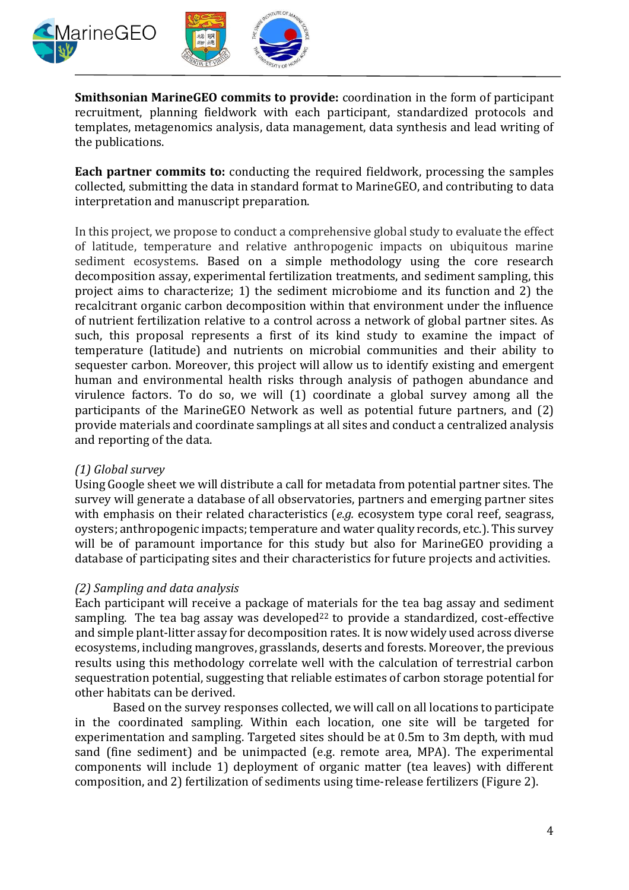

**Smithsonian MarineGEO commits to provide:** coordination in the form of participant recruitment, planning fieldwork with each participant, standardized protocols and templates, metagenomics analysis, data management, data synthesis and lead writing of the publications.

**Each partner commits to:** conducting the required fieldwork, processing the samples collected, submitting the data in standard format to MarineGEO, and contributing to data interpretation and manuscript preparation.

In this project, we propose to conduct a comprehensive global study to evaluate the effect of latitude, temperature and relative anthropogenic impacts on ubiquitous marine sediment ecosystems. Based on a simple methodology using the core research decomposition assay, experimental fertilization treatments, and sediment sampling, this project aims to characterize; 1) the sediment microbiome and its function and 2) the recalcitrant organic carbon decomposition within that environment under the influence of nutrient fertilization relative to a control across a network of global partner sites. As such, this proposal represents a first of its kind study to examine the impact of temperature (latitude) and nutrients on microbial communities and their ability to sequester carbon. Moreover, this project will allow us to identify existing and emergent human and environmental health risks through analysis of pathogen abundance and virulence factors. To do so, we will (1) coordinate a global survey among all the participants of the MarineGEO Network as well as potential future partners, and (2) provide materials and coordinate samplings at all sites and conduct a centralized analysis and reporting of the data.

# *(1) Global survey*

Using Google sheet we will distribute a call for metadata from potential partner sites. The survey will generate a database of all observatories, partners and emerging partner sites with emphasis on their related characteristics (*e.g.* ecosystem type coral reef, seagrass, oysters; anthropogenic impacts; temperature and water quality records, etc.). This survey will be of paramount importance for this study but also for MarineGEO providing a database of participating sites and their characteristics for future projects and activities.

# *(2) Sampling and data analysis*

Each participant will receive a package of materials for the tea bag assay and sediment sampling. The tea bag assay was developed $22$  to provide a standardized, cost-effective and simple plant-litter assay for decomposition rates. It is now widely used across diverse ecosystems, including mangroves, grasslands, deserts and forests. Moreover, the previous results using this methodology correlate well with the calculation of terrestrial carbon sequestration potential, suggesting that reliable estimates of carbon storage potential for other habitats can be derived.

Based on the survey responses collected, we will call on all locations to participate in the coordinated sampling. Within each location, one site will be targeted for experimentation and sampling. Targeted sites should be at 0.5m to 3m depth, with mud sand (fine sediment) and be unimpacted (e.g. remote area, MPA). The experimental components will include 1) deployment of organic matter (tea leaves) with different composition, and 2) fertilization of sediments using time-release fertilizers (Figure 2).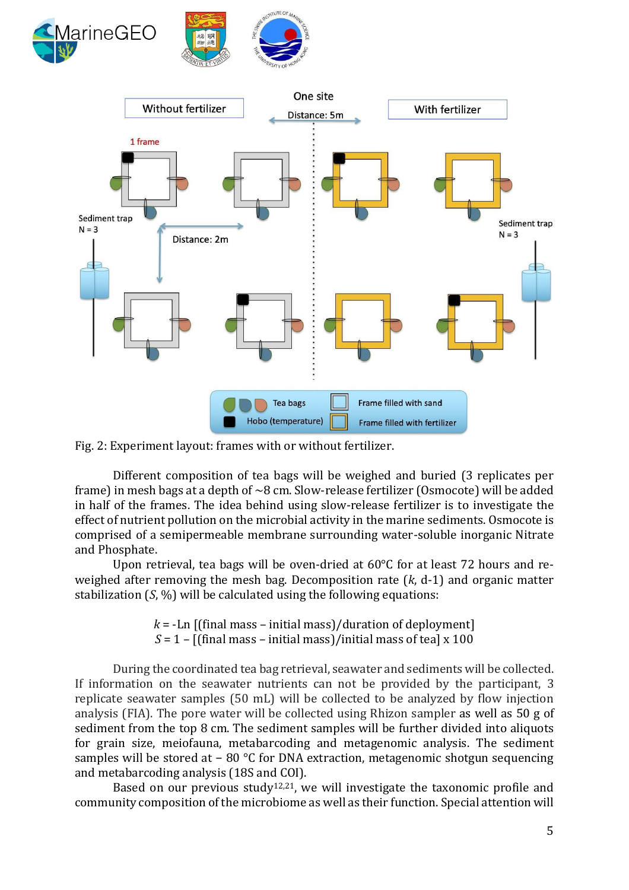



Fig. 2: Experiment layout: frames with or without fertilizer.

Different composition of tea bags will be weighed and buried (3 replicates per frame) in mesh bags at a depth of  $\sim$ 8 cm. Slow-release fertilizer (Osmocote) will be added in half of the frames. The idea behind using slow-release fertilizer is to investigate the effect of nutrient pollution on the microbial activity in the marine sediments. Osmocote is comprised of a semipermeable membrane surrounding water-soluble inorganic Nitrate and Phosphate.

Upon retrieval, tea bags will be oven-dried at 60°C for at least 72 hours and reweighed after removing the mesh bag. Decomposition rate (*k*, d-1) and organic matter stabilization (*S*, %) will be calculated using the following equations:

> $k = -\text{Ln}$  [(final mass – initial mass)/duration of deployment]  $S = 1 -$  [(final mass – initial mass)/initial mass of tea] x 100

During the coordinated tea bag retrieval, seawater and sediments will be collected. If information on the seawater nutrients can not be provided by the participant, 3 replicate seawater samples (50 mL) will be collected to be analyzed by flow injection analysis (FIA). The pore water will be collected using Rhizon sampler as well as 50 g of sediment from the top 8 cm. The sediment samples will be further divided into aliquots for grain size, meiofauna, metabarcoding and metagenomic analysis. The sediment samples will be stored at − 80 °C for DNA extraction, metagenomic shotgun sequencing and metabarcoding analysis (18S and COI).

Based on our previous study<sup>12,21</sup>, we will investigate the taxonomic profile and community composition of the microbiome as well as their function. Special attention will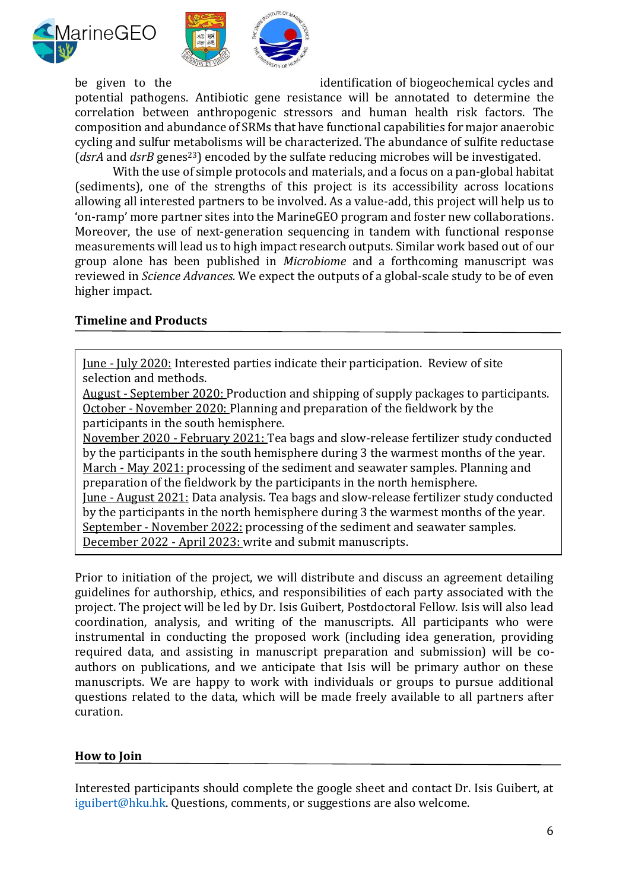



be given to the identification of biogeochemical cycles and

potential pathogens. Antibiotic gene resistance will be annotated to determine the correlation between anthropogenic stressors and human health risk factors. The composition and abundance of SRMs that have functional capabilities for major anaerobic cycling and sulfur metabolisms will be characterized. The abundance of sulfite reductase (*dsrA* and *dsrB* genes<sup>23</sup>) encoded by the sulfate reducing microbes will be investigated.

With the use of simple protocols and materials, and a focus on a pan-global habitat (sediments), one of the strengths of this project is its accessibility across locations allowing all interested partners to be involved. As a value-add, this project will help us to 'on-ramp' more partner sites into the MarineGEO program and foster new collaborations. Moreover, the use of next-generation sequencing in tandem with functional response measurements will lead us to high impact research outputs. Similar work based out of our group alone has been published in *Microbiome* and a forthcoming manuscript was reviewed in *Science Advances.* We expect the outputs of a global-scale study to be of even higher impact.

# **Timeline and Products**

June - July 2020: Interested parties indicate their participation. Review of site selection and methods.

August - September 2020: Production and shipping of supply packages to participants. October - November 2020: Planning and preparation of the fieldwork by the participants in the south hemisphere.

November 2020 - February 2021: Tea bags and slow-release fertilizer study conducted by the participants in the south hemisphere during 3 the warmest months of the year. March - May 2021: processing of the sediment and seawater samples. Planning and preparation of the fieldwork by the participants in the north hemisphere. June - August 2021: Data analysis. Tea bags and slow-release fertilizer study conducted by the participants in the north hemisphere during 3 the warmest months of the year. September - November 2022: processing of the sediment and seawater samples. December 2022 - April 2023: write and submit manuscripts.

Prior to initiation of the project, we will distribute and discuss an agreement detailing guidelines for authorship, ethics, and responsibilities of each party associated with the project. The project will be led by Dr. Isis Guibert, Postdoctoral Fellow. Isis will also lead coordination, analysis, and writing of the manuscripts. All participants who were instrumental in conducting the proposed work (including idea generation, providing required data, and assisting in manuscript preparation and submission) will be coauthors on publications, and we anticipate that Isis will be primary author on these manuscripts. We are happy to work with individuals or groups to pursue additional questions related to the data, which will be made freely available to all partners after curation.

# **How to Join**

Interested participants should complete the google sheet and contact Dr. Isis Guibert, at iguibert@hku.hk. Questions, comments, or suggestions are also welcome.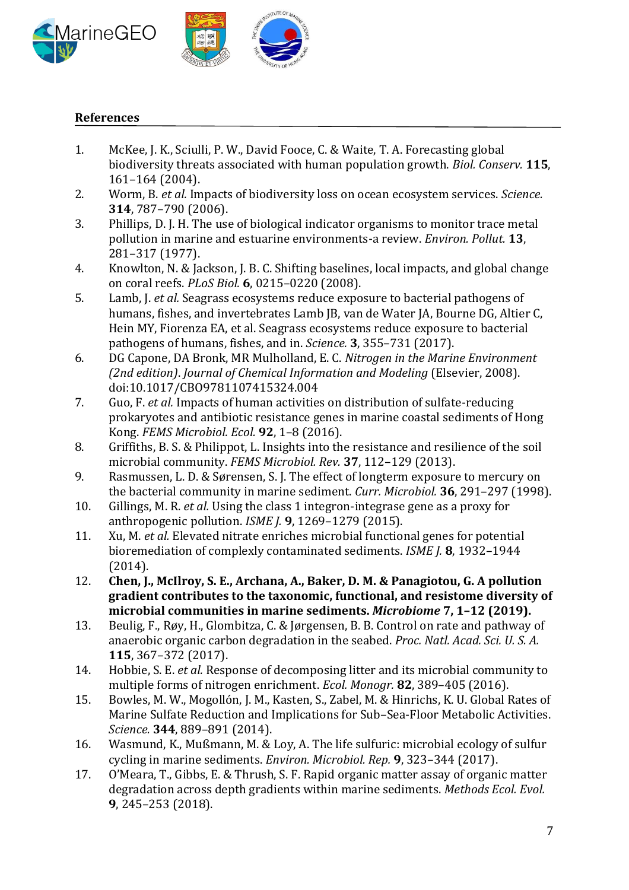

#### **References**

- 1. McKee, J. K., Sciulli, P. W., David Fooce, C. & Waite, T. A. Forecasting global biodiversity threats associated with human population growth. *Biol. Conserv.* **115**, 161–164 (2004).
- 2. Worm, B. *et al.* Impacts of biodiversity loss on ocean ecosystem services. *Science.* **314**, 787–790 (2006).
- 3. Phillips, D. J. H. The use of biological indicator organisms to monitor trace metal pollution in marine and estuarine environments-a review. *Environ. Pollut.* **13**, 281–317 (1977).
- 4. Knowlton, N. & Jackson, J. B. C. Shifting baselines, local impacts, and global change on coral reefs. *PLoS Biol.* **6**, 0215–0220 (2008).
- 5. Lamb, J. *et al.* Seagrass ecosystems reduce exposure to bacterial pathogens of humans, fishes, and invertebrates Lamb JB, van de Water JA, Bourne DG, Altier C, Hein MY, Fiorenza EA, et al. Seagrass ecosystems reduce exposure to bacterial pathogens of humans, fishes, and in. *Science.* **3**, 355–731 (2017).
- 6. DG Capone, DA Bronk, MR Mulholland, E. C. *Nitrogen in the Marine Environment (2nd edition)*. *Journal of Chemical Information and Modeling* (Elsevier, 2008). doi:10.1017/CBO9781107415324.004
- 7. Guo, F. *et al.* Impacts of human activities on distribution of sulfate-reducing prokaryotes and antibiotic resistance genes in marine coastal sediments of Hong Kong. *FEMS Microbiol. Ecol.* **92**, 1–8 (2016).
- 8. Griffiths, B. S. & Philippot, L. Insights into the resistance and resilience of the soil microbial community. *FEMS Microbiol. Rev.* **37**, 112–129 (2013).
- 9. Rasmussen, L. D. & Sørensen, S. J. The effect of longterm exposure to mercury on the bacterial community in marine sediment. *Curr. Microbiol.* **36**, 291–297 (1998).
- 10. Gillings, M. R. *et al.* Using the class 1 integron-integrase gene as a proxy for anthropogenic pollution. *ISME J.* **9**, 1269–1279 (2015).
- 11. Xu, M. *et al.* Elevated nitrate enriches microbial functional genes for potential bioremediation of complexly contaminated sediments. *ISME J.* **8**, 1932–1944 (2014).
- 12. **Chen, J., McIlroy, S. E., Archana, A., Baker, D. M. & Panagiotou, G. A pollution gradient contributes to the taxonomic, functional, and resistome diversity of microbial communities in marine sediments.** *Microbiome* **7, 1–12 (2019).**
- 13. Beulig, F., Røy, H., Glombitza, C. & Jørgensen, B. B. Control on rate and pathway of anaerobic organic carbon degradation in the seabed. *Proc. Natl. Acad. Sci. U. S. A.* **115**, 367–372 (2017).
- 14. Hobbie, S. E. *et al.* Response of decomposing litter and its microbial community to multiple forms of nitrogen enrichment. *Ecol. Monogr.* **82**, 389–405 (2016).
- 15. Bowles, M. W., Mogollón, J. M., Kasten, S., Zabel, M. & Hinrichs, K. U. Global Rates of Marine Sulfate Reduction and Implications for Sub–Sea-Floor Metabolic Activities. *Science.* **344**, 889–891 (2014).
- 16. Wasmund, K., Mußmann, M. & Loy, A. The life sulfuric: microbial ecology of sulfur cycling in marine sediments. *Environ. Microbiol. Rep.* **9**, 323–344 (2017).
- 17. O'Meara, T., Gibbs, E. & Thrush, S. F. Rapid organic matter assay of organic matter degradation across depth gradients within marine sediments. *Methods Ecol. Evol.* **9**, 245–253 (2018).